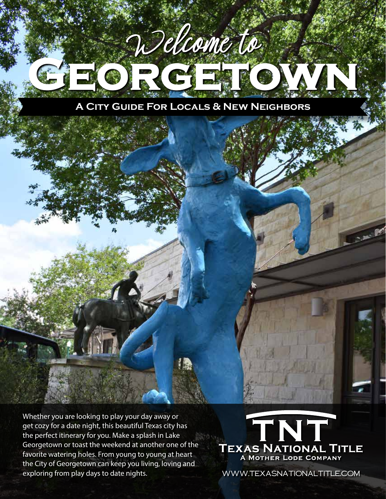

Whether you are looking to play your day away or get cozy for a date night, this beautiful Texas city has the perfect itinerary for you. Make a splash in Lake Georgetown or toast the weekend at another one of the favorite watering holes. From young to young at heart the City of Georgetown can keep you living, loving and exploring from play days to date nights.



www.TexasNationalTitle.com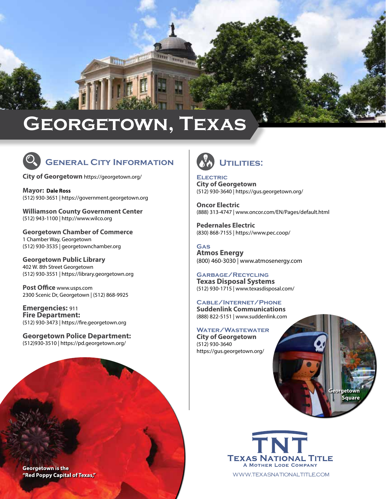## **Georgetown, Texas**

<u> Altrico antico di l</u>



## **General City Information**

**City of Georgetown** <https://georgetown.org/>

**Mayor: Dale Ross** (512) 930-3651 | [https://government.georgetown.org](https://government.georgetown.org/mayor/)

**Williamson County Government Center** (512) 943-1100 | [http://www.wilco.org](http://www.wilco.org/)

**Georgetown Chamber of Commerce** 1 Chamber Way, Georgetown (512) 930-3535 | [georgetownchamber.org](http://georgetownchamber.org/)

**Georgetown Public Library** 402 W. 8th Street Georgetown (512) 930-3551 | [https://library.georgetown.org](https://library.georgetown.org/)

**Post Office** [www.usps.com](http://www.usps.com) 2300 Scenic Dr, Georgetown | (512) 868-9925

**Emergencies:** 911 **Fire Department:** (512) 930-3473 | [https://fire.georgetown.org](https://fire.georgetown.org/)

**Georgetown Police Department:**  (512)930-3510 | https://pd.georgetown.org/



**Electric City of Georgetown** (512) 930-3640 | <https://gus.georgetown.org/>

**Oncor Electric** (888) 313-4747 | [www.oncor.com/EN/Pages/default.html](https://www.pec.coop/)

**[Pedernales Electric](https://www.pec.coop/)** [\(830\) 868-7155 | https://www.pec.coop/](https://www.pec.coop/)

**Gas Atmos Energy** (800) 460-3030 | [www.atmosenergy.com](http://www.atmosenergy.com)

**Garbage/Recycling Texas Disposal Systems** (512) 930-1715 | [www.texasdisposal.com/](https://www.texasdisposal.com/)

**Cable/Internet/Phone Suddenlink Communications**  (888) 822-5151 | www.suddenlink.com

**Water/Wastewater City of Georgetown** (512) 930-3640 <https://gus.georgetown.org/>





www.TexasNationalTitle.com

**Georgetown is the** "Red Poppy Capital of Texas,"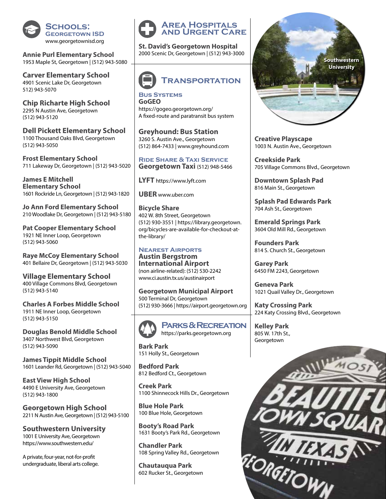

**Annie Purl Elementary School** 1953 Maple St, Georgetown | (512) 943-5080

**Carver Elementary School** 4901 Scenic Lake Dr, Georgetown 512) 943-5070

**Chip Richarte High School** 2295 N Austin Ave, Georgetown (512) 943-5120

**Dell Pickett Elementary School** 1100 Thousand Oaks Blvd, Georgetown (512) 943-5050

**Frost Elementary School**  711 Lakeway Dr, Georgetown | (512) 943-5020

**James E Mitchell Elementary School** 1601 Rockride Ln, Georgetown | (512) 943-1820

**Jo Ann Ford Elementary School** 210 Woodlake Dr, Georgetown | (512) 943-5180

**Pat Cooper Elementary School** 1921 NE Inner Loop, Georgetown (512) 943-5060

**Raye McCoy Elementary School** 401 Bellaire Dr, Georgetown | (512) 943-5030

**Village Elementary School** 400 Village Commons Blvd, Georgetown (512) 943-5140

**Charles A Forbes Middle School** 1911 NE Inner Loop, Georgetown (512) 943-5150

**Douglas Benold Middle School** 3407 Northwest Blvd, Georgetown (512) 943-5090

**James Tippit Middle School** 1601 Leander Rd, Georgetown | (512) 943-5040

**East View High School**  4490 E University Ave, Georgetown (512) 943-1800

**Georgetown High School** 2211 N Austin Ave, Georgetown | (512) 943-5100

**Southwestern University** 1001 E University Ave, Georgetown <https://www.southwestern.edu/>

A private, four-year, not-for-profit undergraduate, liberal arts college.



**St. David's Georgetown Hospital** 2000 Scenic Dr, Georgetown | (512) 943-3000



**Bus Systems GoGEO** <https://gogeo.georgetown.org/> A fixed-route and paratransit bus system

**Greyhound: Bus Station** 3260 S. Austin Ave., Georgetown (512) 864-7433 | [www.greyhound.com](http://www.greyhound.com)

**Ride Share & Taxi Service Georgetown Taxi** (512) 948-5466

**LYFT** [https://www.lyft.com](https://www.lyft.com/)

**UBER** [www.uber.com](http://www.uber.com/)

**Bicycle Share** 402 W. 8th Street, Georgetown (512) 930-3551 | [https://library.georgetown.](https://library.georgetown.org/bicycles-are-available-for-checkout-at-the-library/) [org/bicycles-are-available-for-checkout-at](https://library.georgetown.org/bicycles-are-available-for-checkout-at-the-library/)[the-library/](https://library.georgetown.org/bicycles-are-available-for-checkout-at-the-library/)

## **Nearest Airports Austin Bergstrom**

**International Airport** (non airline-related): (512) 530-2242 [www.ci.austin.tx.us/austinairport](http://www.ci.austin.tx.us/austinairport)

**Georgetown Municipal Airport**  500 Terminal Dr, Georgetown (512) 930-3666 | [https://airport.georgetown.org](https://airport.georgetown.org/)



**Parks & Recreation** [https://parks.georgetown.org](https://parks.georgetown.org/)

**Bark Park** 151 Holly St., Georgetown

**Bedford Park** 812 Bedford Ct., Georgetown

**Creek Park** 1100 Shinnecock Hills Dr., Georgetown

**Blue Hole Park** 100 Blue Hole, Georgetown

**Booty's Road Park** 1631 Booty's Park Rd., Georgetown

**Chandler Park** 108 Spring Valley Rd., Georgetown

**Chautauqua Park** 602 Rucker St., Georgetown



**Creative Playscape**  1003 N. Austin Ave., Georgetown

**Creekside Park** 705 Village Commons Blvd., Georgetown

**Downtown Splash Pad** 816 Main St., Georgetown

**Splash Pad Edwards Park** 704 Ash St., Georgetown

**Emerald Springs Park** 3604 Old Mill Rd., Georgetown

**Founders Park** 814 S. Church St., Georgetown

**Garey Park** 6450 FM 2243, Georgetown

**Geneva Park** 1021 Quail Valley Dr., Georgetown

**Katy Crossing Park** 224 Katy Crossing Blvd., Georgetown

**Kelley Park** 805 W. 17th St., Georgetown